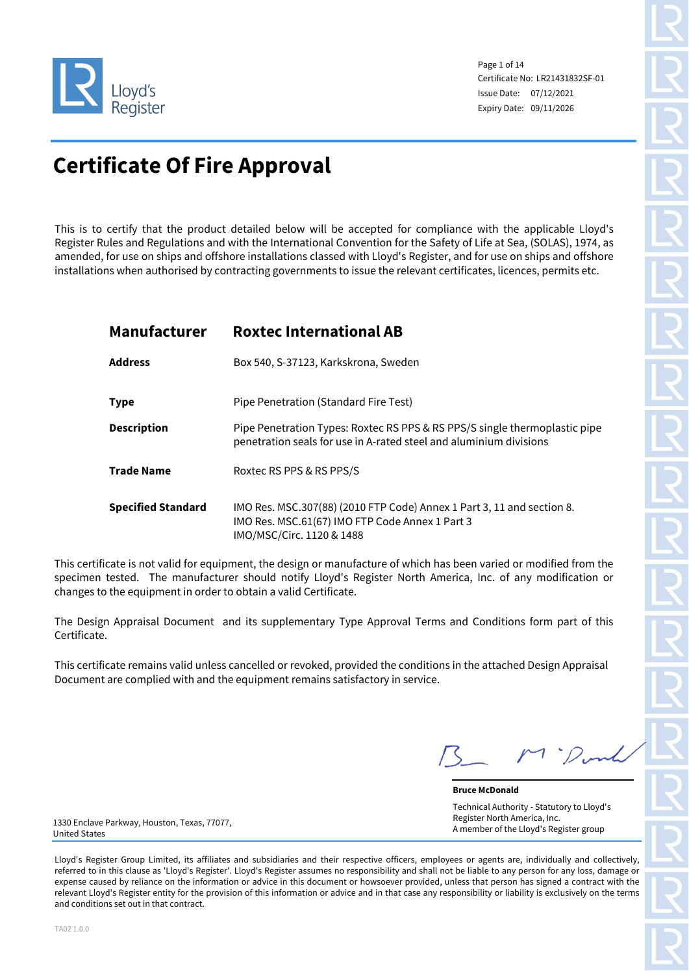

Page 1 of 14 Certificate No: LR21431832SF-01 Issue Date: 07/12/2021 Expiry Date: 09/11/2026

# **Certificate Of Fire Approval**

This is to certify that the product detailed below will be accepted for compliance with the applicable Lloyd's Register Rules and Regulations and with the International Convention for the Safety of Life at Sea, (SOLAS), 1974, as amended, for use on ships and offshore installations classed with Lloyd's Register, and for use on ships and offshore installations when authorised by contracting governments to issue the relevant certificates, licences, permits etc.

| <b>Manufacturer</b>       | <b>Roxtec International AB</b>                                                                                                                         |
|---------------------------|--------------------------------------------------------------------------------------------------------------------------------------------------------|
| <b>Address</b>            | Box 540, S-37123, Karkskrona, Sweden                                                                                                                   |
| <b>Type</b>               | Pipe Penetration (Standard Fire Test)                                                                                                                  |
| <b>Description</b>        | Pipe Penetration Types: Roxtec RS PPS & RS PPS/S single thermoplastic pipe<br>penetration seals for use in A-rated steel and aluminium divisions       |
| <b>Trade Name</b>         | Roxtec RS PPS & RS PPS/S                                                                                                                               |
| <b>Specified Standard</b> | IMO Res. MSC.307(88) (2010 FTP Code) Annex 1 Part 3, 11 and section 8.<br>IMO Res. MSC.61(67) IMO FTP Code Annex 1 Part 3<br>IMO/MSC/Circ. 1120 & 1488 |

This certificate is not valid for equipment, the design or manufacture of which has been varied or modified from the specimen tested. The manufacturer should notify Lloyd's Register North America, Inc. of any modification or changes to the equipment in order to obtain a valid Certificate.

The Design Appraisal Document and its supplementary Type Approval Terms and Conditions form part of this Certificate.

This certificate remains valid unless cancelled or revoked, provided the conditions in the attached Design Appraisal Document are complied with and the equipment remains satisfactory in service.

**Bruce McDonald** Technical Authority - Statutory to Lloyd's Register North America, Inc. A member of the Lloyd's Register group

1330 Enclave Parkway, Houston, Texas, 77077, United States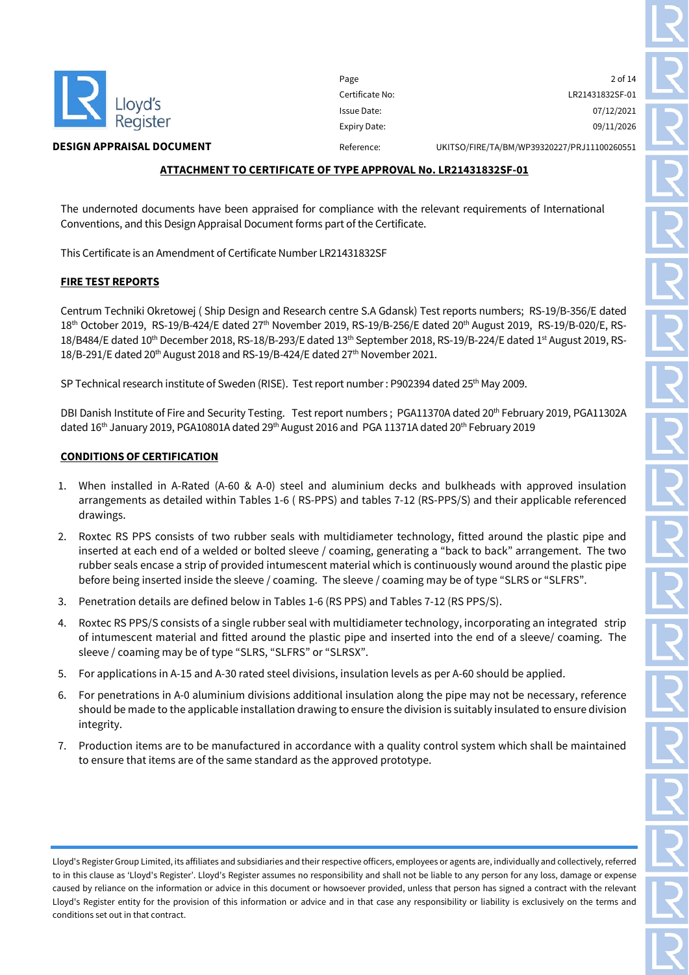

#### **ATTACHMENT TO CERTIFICATE OF TYPE APPROVAL No. LR21431832SF-01**

The undernoted documents have been appraised for compliance with the relevant requirements of International Conventions, and this Design Appraisal Document forms part of the Certificate.

This Certificate is an Amendment of Certificate Number LR21431832SF

#### **FIRE TEST REPORTS**

Centrum Techniki Okretowej ( Ship Design and Research centre S.A Gdansk) Test reports numbers; RS-19/B-356/E dated 18th October 2019, RS-19/B-424/E dated 27th November 2019, RS-19/B-256/E dated 20th August 2019, RS-19/B-020/E, RS-18/B484/E dated 10th December 2018, RS-18/B-293/E dated 13th September 2018, RS-19/B-224/E dated 1st August 2019, RS-18/B-291/E dated 20<sup>th</sup> August 2018 and RS-19/B-424/E dated 27<sup>th</sup> November 2021.

SP Technical research institute of Sweden (RISE). Test report number: P902394 dated 25<sup>th</sup> May 2009.

DBI Danish Institute of Fire and Security Testing. Test report numbers ; PGA11370A dated 20<sup>th</sup> February 2019, PGA11302A dated 16<sup>th</sup> January 2019, PGA10801A dated 29<sup>th</sup> August 2016 and PGA 11371A dated 20<sup>th</sup> February 2019

#### **CONDITIONS OF CERTIFICATION**

- 1. When installed in A-Rated (A-60 & A-0) steel and aluminium decks and bulkheads with approved insulation arrangements as detailed within Tables 1-6 ( RS-PPS) and tables 7-12 (RS-PPS/S) and their applicable referenced drawings.
- 2. Roxtec RS PPS consists of two rubber seals with multidiameter technology, fitted around the plastic pipe and inserted at each end of a welded or bolted sleeve / coaming, generating a "back to back" arrangement. The two rubber seals encase a strip of provided intumescent material which is continuously wound around the plastic pipe before being inserted inside the sleeve / coaming. The sleeve / coaming may be of type "SLRS or "SLFRS".
- 3. Penetration details are defined below in Tables 1-6 (RS PPS) and Tables 7-12 (RS PPS/S).
- 4. Roxtec RS PPS/S consists of a single rubber seal with multidiameter technology, incorporating an integrated strip of intumescent material and fitted around the plastic pipe and inserted into the end of a sleeve/ coaming. The sleeve / coaming may be of type "SLRS, "SLFRS" or "SLRSX".
- 5. For applications in A-15 and A-30 rated steel divisions, insulation levels as per A-60 should be applied.
- 6. For penetrations in A-0 aluminium divisions additional insulation along the pipe may not be necessary, reference should be made to the applicable installation drawing to ensure the division is suitably insulated to ensure division integrity.
- 7. Production items are to be manufactured in accordance with a quality control system which shall be maintained to ensure that items are of the same standard as the approved prototype.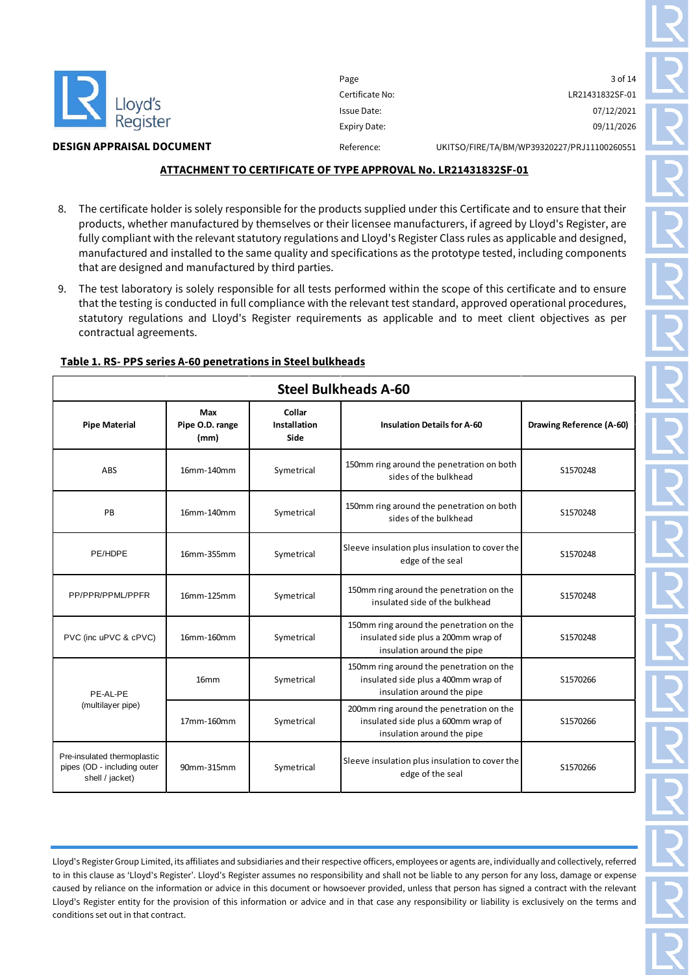

#### **ATTACHMENT TO CERTIFICATE OF TYPE APPROVAL No. LR21431832SF-01**

- 8. The certificate holder is solely responsible for the products supplied under this Certificate and to ensure that their products, whether manufactured by themselves or their licensee manufacturers, if agreed by Lloyd's Register, are fully compliant with the relevant statutory regulations and Lloyd's Register Class rules as applicable and designed, manufactured and installed to the same quality and specifications as the prototype tested, including components that are designed and manufactured by third parties.
- 9. The test laboratory is solely responsible for all tests performed within the scope of this certificate and to ensure that the testing is conducted in full compliance with the relevant test standard, approved operational procedures, statutory regulations and Lloyd's Register requirements as applicable and to meet client objectives as per contractual agreements.

| <b>Steel Bulkheads A-60</b>                                                   |                                |                                |                                                                                                               |                          |
|-------------------------------------------------------------------------------|--------------------------------|--------------------------------|---------------------------------------------------------------------------------------------------------------|--------------------------|
| <b>Pipe Material</b>                                                          | Max<br>Pipe O.D. range<br>(mm) | Collar<br>Installation<br>Side | <b>Insulation Details for A-60</b>                                                                            | Drawing Reference (A-60) |
| ABS                                                                           | 16mm-140mm                     | Symetrical                     | 150mm ring around the penetration on both<br>sides of the bulkhead                                            | S1570248                 |
| PB                                                                            | 16mm-140mm                     | Symetrical                     | 150mm ring around the penetration on both<br>sides of the bulkhead                                            | S1570248                 |
| PE/HDPE                                                                       | 16mm-355mm                     | Symetrical                     | Sleeve insulation plus insulation to cover the<br>edge of the seal                                            | S1570248                 |
| PP/PPR/PPML/PPFR                                                              | 16mm-125mm                     | Symetrical                     | 150mm ring around the penetration on the<br>insulated side of the bulkhead                                    | S1570248                 |
| PVC (inc uPVC & cPVC)                                                         | 16mm-160mm                     | Symetrical                     | 150mm ring around the penetration on the<br>insulated side plus a 200mm wrap of<br>insulation around the pipe | S1570248                 |
| PE-AL-PE<br>(multilayer pipe)                                                 | 16 <sub>mm</sub>               | Symetrical                     | 150mm ring around the penetration on the<br>insulated side plus a 400mm wrap of<br>insulation around the pipe | S1570266                 |
|                                                                               | 17mm-160mm                     | Symetrical                     | 200mm ring around the penetration on the<br>insulated side plus a 600mm wrap of<br>insulation around the pipe | S1570266                 |
| Pre-insulated thermoplastic<br>pipes (OD - including outer<br>shell / jacket) | 90mm-315mm                     | Symetrical                     | Sleeve insulation plus insulation to cover the<br>edge of the seal                                            | S1570266                 |

#### **Table 1. RS- PPS series A-60 penetrations in Steel bulkheads**

Lloyd's Register Group Limited, its affiliates and subsidiaries and their respective officers, employees or agents are, individually and collectively, referred to in this clause as 'Lloyd's Register'. Lloyd's Register assumes no responsibility and shall not be liable to any person for any loss, damage or expense caused by reliance on the information or advice in this document or howsoever provided, unless that person has signed a contract with the relevant Lloyd's Register entity for the provision of this information or advice and in that case any responsibility or liability is exclusively on the terms and conditions set out in that contract.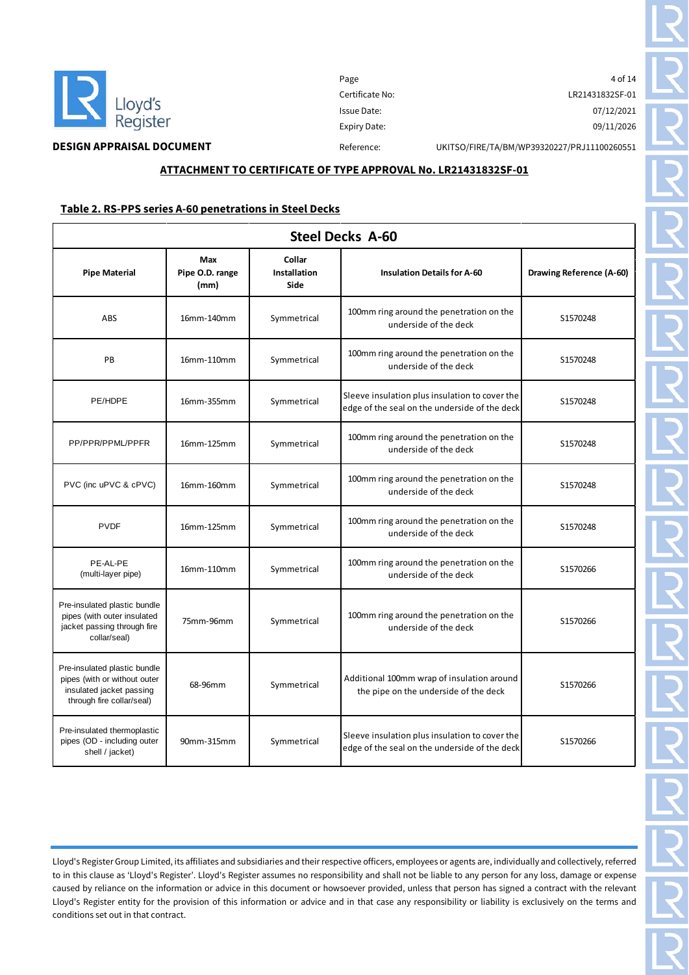

Page 4 of 14 Certificate No: LR21431832SF-01 Issue Date: 07/12/2021 Expiry Date: 09/11/2026

**DESIGN APPRAISAL DOCUMENT** Reference: UKITSO/FIRE/TA/BM/WP39320227/PRJ11100260551

#### **ATTACHMENT TO CERTIFICATE OF TYPE APPROVAL No. LR21431832SF-01**

#### **Table 2. RS-PPS series A-60 penetrations in Steel Decks**

|                                                                                                                       | <b>Steel Decks A-60</b>        |                                |                                                                                                 |                          |  |
|-----------------------------------------------------------------------------------------------------------------------|--------------------------------|--------------------------------|-------------------------------------------------------------------------------------------------|--------------------------|--|
| <b>Pipe Material</b>                                                                                                  | Max<br>Pipe O.D. range<br>(mm) | Collar<br>Installation<br>Side | <b>Insulation Details for A-60</b>                                                              | Drawing Reference (A-60) |  |
| ABS                                                                                                                   | 16mm-140mm                     | Symmetrical                    | 100mm ring around the penetration on the<br>underside of the deck                               | S1570248                 |  |
| PB                                                                                                                    | 16mm-110mm                     | Symmetrical                    | 100mm ring around the penetration on the<br>underside of the deck                               | S1570248                 |  |
| PE/HDPE                                                                                                               | 16mm-355mm                     | Symmetrical                    | Sleeve insulation plus insulation to cover the<br>edge of the seal on the underside of the deck | S1570248                 |  |
| PP/PPR/PPML/PPFR                                                                                                      | 16mm-125mm                     | Symmetrical                    | 100mm ring around the penetration on the<br>underside of the deck                               | S1570248                 |  |
| PVC (inc uPVC & cPVC)                                                                                                 | 16mm-160mm                     | Symmetrical                    | 100mm ring around the penetration on the<br>underside of the deck                               | S1570248                 |  |
| <b>PVDF</b>                                                                                                           | 16mm-125mm                     | Symmetrical                    | 100mm ring around the penetration on the<br>underside of the deck                               | S1570248                 |  |
| PE-AL-PE<br>(multi-layer pipe)                                                                                        | 16mm-110mm                     | Symmetrical                    | 100mm ring around the penetration on the<br>underside of the deck                               | S1570266                 |  |
| Pre-insulated plastic bundle<br>pipes (with outer insulated<br>jacket passing through fire<br>collar/seal)            | 75mm-96mm                      | Symmetrical                    | 100mm ring around the penetration on the<br>underside of the deck                               | S1570266                 |  |
| Pre-insulated plastic bundle<br>pipes (with or without outer<br>insulated jacket passing<br>through fire collar/seal) | 68-96mm                        | Symmetrical                    | Additional 100mm wrap of insulation around<br>the pipe on the underside of the deck             | S1570266                 |  |
| Pre-insulated thermoplastic<br>pipes (OD - including outer<br>shell / jacket)                                         | 90mm-315mm                     | Symmetrical                    | Sleeve insulation plus insulation to cover the<br>edge of the seal on the underside of the deck | S1570266                 |  |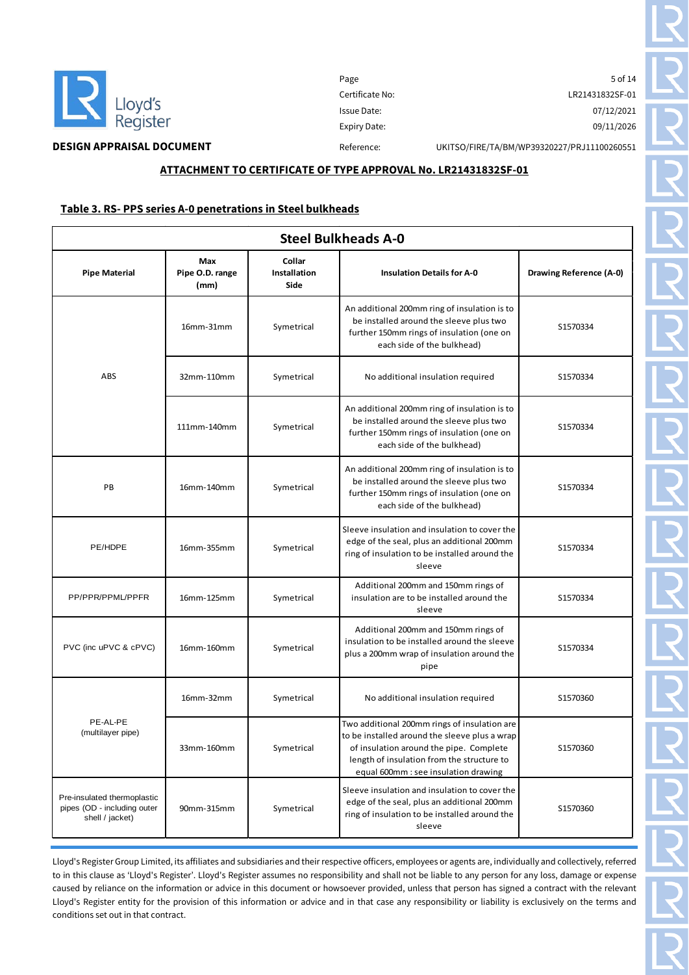

 $\mathsf{r}$ 

# **DESIGN APPRAISAL DOCUMENT** Reference: UKITSO/FIRE/TA/BM/WP39320227/PRJ11100260551

#### **ATTACHMENT TO CERTIFICATE OF TYPE APPROVAL No. LR21431832SF-01**

#### **Table 3. RS- PPS series A-0 penetrations in Steel bulkheads**

| <b>Steel Bulkheads A-0</b>                                                    |                                |                                |                                                                                                                                                                                                                                |                         |  |
|-------------------------------------------------------------------------------|--------------------------------|--------------------------------|--------------------------------------------------------------------------------------------------------------------------------------------------------------------------------------------------------------------------------|-------------------------|--|
| <b>Pipe Material</b>                                                          | Max<br>Pipe O.D. range<br>(mm) | Collar<br>Installation<br>Side | <b>Insulation Details for A-0</b>                                                                                                                                                                                              | Drawing Reference (A-0) |  |
|                                                                               | 16mm-31mm                      | Symetrical                     | An additional 200mm ring of insulation is to<br>be installed around the sleeve plus two<br>further 150mm rings of insulation (one on<br>each side of the bulkhead)                                                             | S1570334                |  |
| ABS                                                                           | 32mm-110mm                     | Symetrical                     | No additional insulation required                                                                                                                                                                                              | S1570334                |  |
|                                                                               | 111mm-140mm                    | Symetrical                     | An additional 200mm ring of insulation is to<br>be installed around the sleeve plus two<br>further 150mm rings of insulation (one on<br>each side of the bulkhead)                                                             | S1570334                |  |
| PB                                                                            | 16mm-140mm                     | Symetrical                     | An additional 200mm ring of insulation is to<br>be installed around the sleeve plus two<br>further 150mm rings of insulation (one on<br>each side of the bulkhead)                                                             | S1570334                |  |
| PE/HDPE                                                                       | 16mm-355mm                     | Symetrical                     | Sleeve insulation and insulation to cover the<br>edge of the seal, plus an additional 200mm<br>ring of insulation to be installed around the<br>sleeve                                                                         | S1570334                |  |
| PP/PPR/PPML/PPFR                                                              | 16mm-125mm                     | Symetrical                     | Additional 200mm and 150mm rings of<br>insulation are to be installed around the<br>sleeve                                                                                                                                     | S1570334                |  |
| PVC (inc uPVC & cPVC)                                                         | 16mm-160mm                     | Symetrical                     | Additional 200mm and 150mm rings of<br>insulation to be installed around the sleeve<br>plus a 200mm wrap of insulation around the<br>pipe                                                                                      | S1570334                |  |
|                                                                               | 16mm-32mm                      | Symetrical                     | No additional insulation required                                                                                                                                                                                              | S1570360                |  |
| PE-AL-PE<br>(multilayer pipe)                                                 | 33mm-160mm                     | Symetrical                     | Two additional 200mm rings of insulation are<br>to be installed around the sleeve plus a wrap<br>of insulation around the pipe. Complete<br>length of insulation from the structure to<br>equal 600mm : see insulation drawing | S1570360                |  |
| Pre-insulated thermoplastic<br>pipes (OD - including outer<br>shell / jacket) | 90mm-315mm                     | Symetrical                     | Sleeve insulation and insulation to cover the<br>edge of the seal, plus an additional 200mm<br>ring of insulation to be installed around the<br>sleeve                                                                         | S1570360                |  |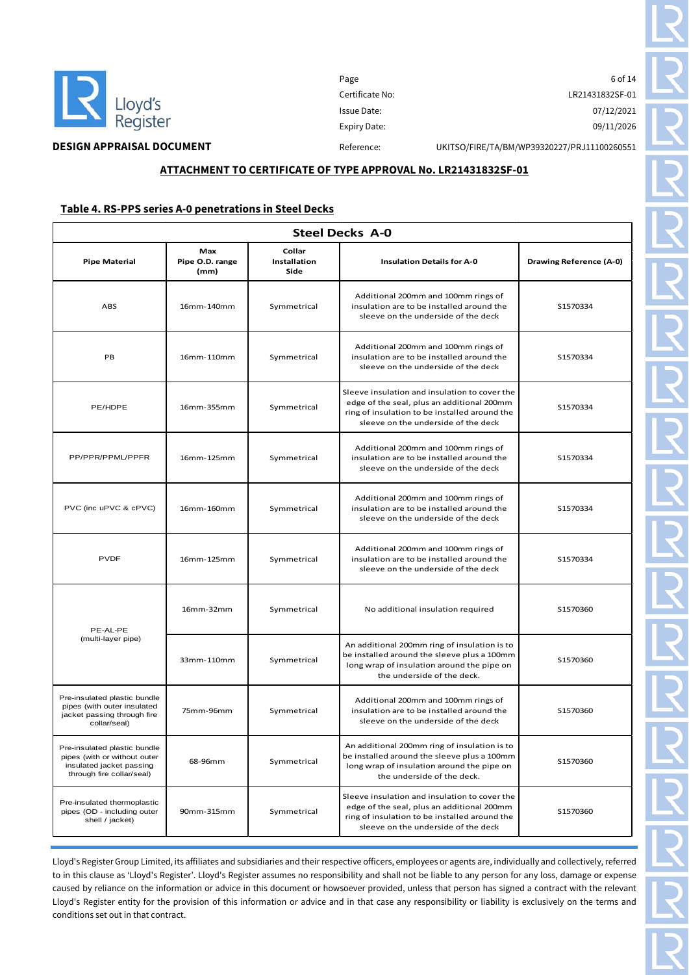

 $\mathsf{r}$ 

Page 6 of 14 Certificate No: LR21431832SF-01 Issue Date: 07/12/2021 Expiry Date: 09/11/2026

# **DESIGN APPRAISAL DOCUMENT** Reference: UKITSO/FIRE/TA/BM/WP39320227/PRJ11100260551

### **ATTACHMENT TO CERTIFICATE OF TYPE APPROVAL No. LR21431832SF-01**

#### **Table 4. RS-PPS series A-0 penetrations in Steel Decks**

|                                                                                                                       | <b>Steel Decks A-0</b>         |                                |                                                                                                                                                                                     |                         |  |  |
|-----------------------------------------------------------------------------------------------------------------------|--------------------------------|--------------------------------|-------------------------------------------------------------------------------------------------------------------------------------------------------------------------------------|-------------------------|--|--|
| <b>Pipe Material</b>                                                                                                  | Max<br>Pipe O.D. range<br>(mm) | Collar<br>Installation<br>Side | <b>Insulation Details for A-0</b>                                                                                                                                                   | Drawing Reference (A-0) |  |  |
| ABS                                                                                                                   | 16mm-140mm                     | Symmetrical                    | Additional 200mm and 100mm rings of<br>insulation are to be installed around the<br>sleeve on the underside of the deck                                                             | S1570334                |  |  |
| PB                                                                                                                    | 16mm-110mm                     | Symmetrical                    | Additional 200mm and 100mm rings of<br>insulation are to be installed around the<br>sleeve on the underside of the deck                                                             | S1570334                |  |  |
| PE/HDPE                                                                                                               | 16mm-355mm                     | Symmetrical                    | Sleeve insulation and insulation to cover the<br>edge of the seal, plus an additional 200mm<br>ring of insulation to be installed around the<br>sleeve on the underside of the deck | S1570334                |  |  |
| PP/PPR/PPML/PPFR                                                                                                      | 16mm-125mm                     | Symmetrical                    | Additional 200mm and 100mm rings of<br>insulation are to be installed around the<br>sleeve on the underside of the deck                                                             | S1570334                |  |  |
| PVC (inc uPVC & cPVC)                                                                                                 | 16mm-160mm                     | Symmetrical                    | Additional 200mm and 100mm rings of<br>insulation are to be installed around the<br>sleeve on the underside of the deck                                                             | S1570334                |  |  |
| <b>PVDF</b>                                                                                                           | 16mm-125mm                     | Symmetrical                    | Additional 200mm and 100mm rings of<br>insulation are to be installed around the<br>sleeve on the underside of the deck                                                             | S1570334                |  |  |
| PE-AL-PE                                                                                                              | 16mm-32mm                      | Symmetrical                    | No additional insulation required                                                                                                                                                   | S1570360                |  |  |
| (multi-layer pipe)                                                                                                    | 33mm-110mm                     | Symmetrical                    | An additional 200mm ring of insulation is to<br>be installed around the sleeve plus a 100mm<br>long wrap of insulation around the pipe on<br>the underside of the deck.             | S1570360                |  |  |
| Pre-insulated plastic bundle<br>pipes (with outer insulated<br>jacket passing through fire<br>collar/seal)            | 75mm-96mm                      | Symmetrical                    | Additional 200mm and 100mm rings of<br>insulation are to be installed around the<br>sleeve on the underside of the deck                                                             | S1570360                |  |  |
| Pre-insulated plastic bundle<br>pipes (with or without outer<br>insulated jacket passing<br>through fire collar/seal) | 68-96mm                        | Symmetrical                    | An additional 200mm ring of insulation is to<br>be installed around the sleeve plus a 100mm<br>long wrap of insulation around the pipe on<br>the underside of the deck.             | S1570360                |  |  |
| Pre-insulated thermoplastic<br>pipes (OD - including outer<br>shell / jacket)                                         | 90mm-315mm                     | Symmetrical                    | Sleeve insulation and insulation to cover the<br>edge of the seal, plus an additional 200mm<br>ring of insulation to be installed around the<br>sleeve on the underside of the deck | \$1570360               |  |  |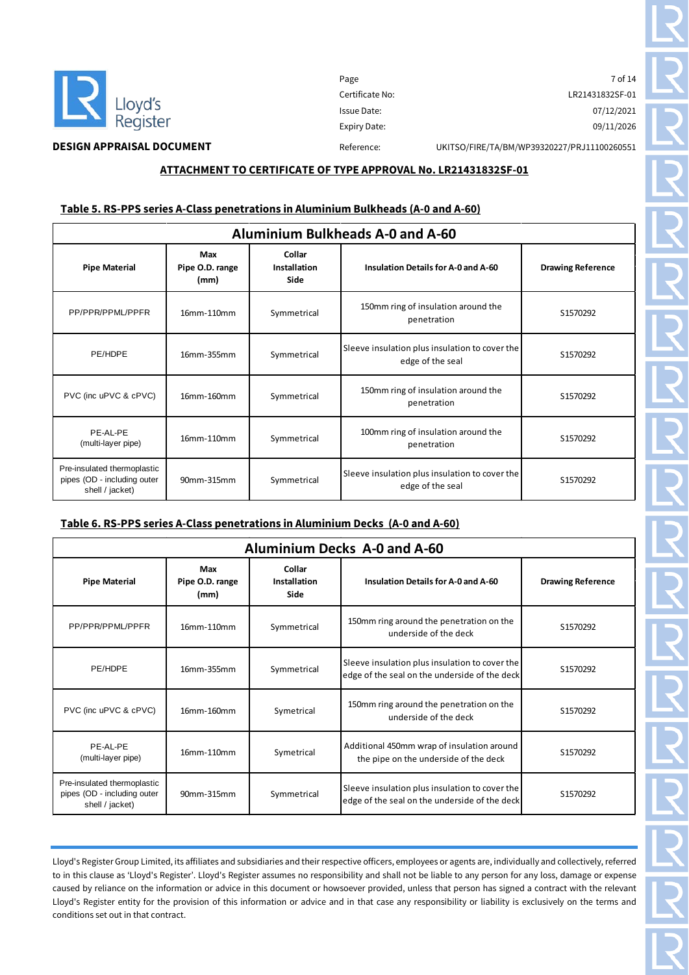

Page 7 of 14 Certificate No: LR21431832SF-01 Issue Date: 07/12/2021 Expiry Date: 09/11/2026

### **ATTACHMENT TO CERTIFICATE OF TYPE APPROVAL No. LR21431832SF-01**

#### **Table 5. RS-PPS series A-Class penetrations in Aluminium Bulkheads (A-0 and A-60)**

| <b>Aluminium Bulkheads A-0 and A-60</b>                                       |                                |                                |                                                                    |                          |  |
|-------------------------------------------------------------------------------|--------------------------------|--------------------------------|--------------------------------------------------------------------|--------------------------|--|
| <b>Pipe Material</b>                                                          | Max<br>Pipe O.D. range<br>(mm) | Collar<br>Installation<br>Side | Insulation Details for A-0 and A-60                                | <b>Drawing Reference</b> |  |
| PP/PPR/PPML/PPFR                                                              | 16mm-110mm                     | Symmetrical                    | 150mm ring of insulation around the<br>penetration                 | S1570292                 |  |
| PE/HDPE                                                                       | 16mm-355mm                     | Symmetrical                    | Sleeve insulation plus insulation to cover the<br>edge of the seal | S1570292                 |  |
| PVC (inc uPVC & cPVC)                                                         | 16mm-160mm                     | Symmetrical                    | 150mm ring of insulation around the<br>penetration                 | S1570292                 |  |
| PE-AL-PE<br>(multi-layer pipe)                                                | 16mm-110mm                     | Symmetrical                    | 100mm ring of insulation around the<br>penetration                 | S1570292                 |  |
| Pre-insulated thermoplastic<br>pipes (OD - including outer<br>shell / jacket) | 90mm-315mm                     | Symmetrical                    | Sleeve insulation plus insulation to cover the<br>edge of the seal | S1570292                 |  |

#### **Table 6. RS-PPS series A-Class penetrations in Aluminium Decks (A-0 and A-60)**

| <b>Aluminium Decks A-0 and A-60</b>                                           |                                |                                |                                                                                                 |                          |  |
|-------------------------------------------------------------------------------|--------------------------------|--------------------------------|-------------------------------------------------------------------------------------------------|--------------------------|--|
| <b>Pipe Material</b>                                                          | Max<br>Pipe O.D. range<br>(mm) | Collar<br>Installation<br>Side | Insulation Details for A-0 and A-60                                                             | <b>Drawing Reference</b> |  |
| PP/PPR/PPML/PPFR                                                              | 16mm-110mm                     | Symmetrical                    | 150mm ring around the penetration on the<br>underside of the deck                               | S1570292                 |  |
| PE/HDPE                                                                       | 16mm-355mm                     | Symmetrical                    | Sleeve insulation plus insulation to cover the<br>edge of the seal on the underside of the deck | S1570292                 |  |
| PVC (inc uPVC & cPVC)                                                         | 16mm-160mm                     | Symetrical                     | 150mm ring around the penetration on the<br>underside of the deck                               | S1570292                 |  |
| PF-AI-PF<br>(multi-layer pipe)                                                | 16mm-110mm                     | Symetrical                     | Additional 450mm wrap of insulation around<br>the pipe on the underside of the deck             | S1570292                 |  |
| Pre-insulated thermoplastic<br>pipes (OD - including outer<br>shell / jacket) | 90mm-315mm                     | Symmetrical                    | Sleeve insulation plus insulation to cover the<br>edge of the seal on the underside of the deck | S1570292                 |  |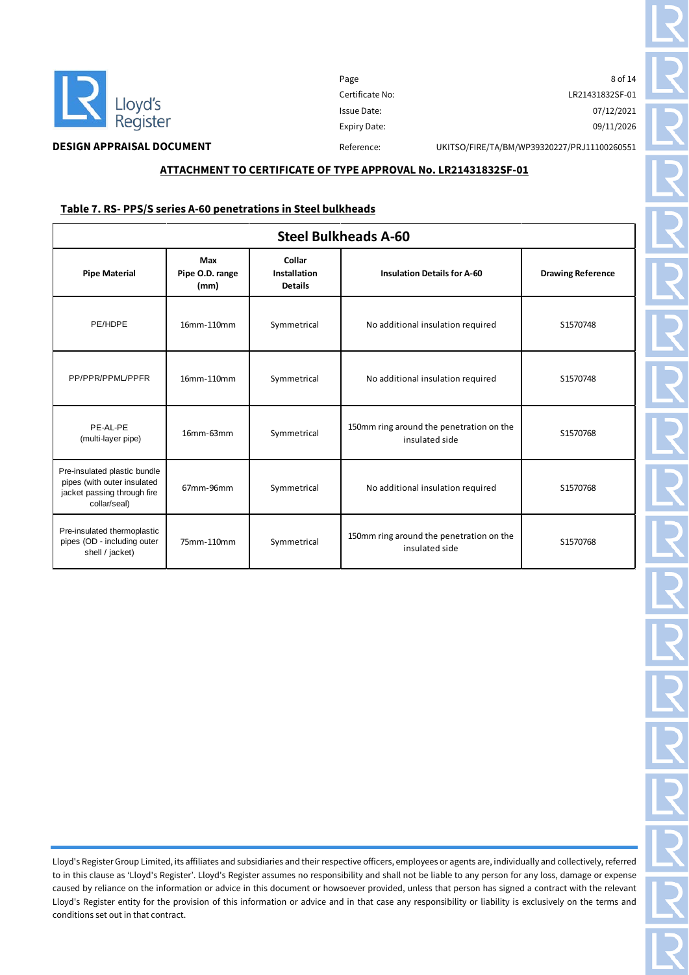

Page 8 of 14 Certificate No: LR21431832SF-01 Issue Date: 07/12/2021 Expiry Date: 09/11/2026

# **DESIGN APPRAISAL DOCUMENT** Reference: UKITSO/FIRE/TA/BM/WP39320227/PRJ11100260551

# **ATTACHMENT TO CERTIFICATE OF TYPE APPROVAL No. LR21431832SF-01**

#### **Table 7. RS- PPS/S series A-60 penetrations in Steel bulkheads**

| <b>Steel Bulkheads A-60</b>                                                                                |                                |                                          |                                                            |                          |
|------------------------------------------------------------------------------------------------------------|--------------------------------|------------------------------------------|------------------------------------------------------------|--------------------------|
| <b>Pipe Material</b>                                                                                       | Max<br>Pipe O.D. range<br>(mm) | Collar<br>Installation<br><b>Details</b> | <b>Insulation Details for A-60</b>                         | <b>Drawing Reference</b> |
| PE/HDPE                                                                                                    | 16mm-110mm                     | Symmetrical                              | No additional insulation required                          | S1570748                 |
| PP/PPR/PPML/PPFR                                                                                           | 16mm-110mm                     | Symmetrical                              | No additional insulation required                          | S1570748                 |
| PE-AL-PE<br>(multi-layer pipe)                                                                             | 16mm-63mm                      | Symmetrical                              | 150mm ring around the penetration on the<br>insulated side | S1570768                 |
| Pre-insulated plastic bundle<br>pipes (with outer insulated<br>jacket passing through fire<br>collar/seal) | 67mm-96mm                      | Symmetrical                              | No additional insulation required                          | S1570768                 |
| Pre-insulated thermoplastic<br>pipes (OD - including outer<br>shell / jacket)                              | 75mm-110mm                     | Symmetrical                              | 150mm ring around the penetration on the<br>insulated side | S1570768                 |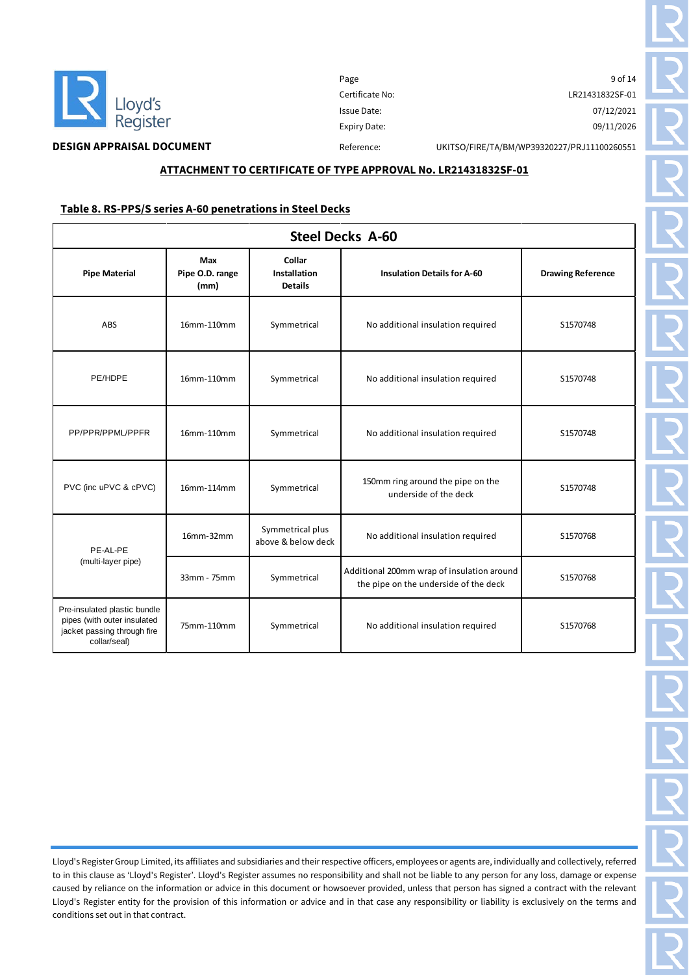

 $\overline{\phantom{a}}$ 

Page 9 of 14 Certificate No: LR21431832SF-01 Issue Date: 07/12/2021 Expiry Date: 09/11/2026

**DESIGN APPRAISAL DOCUMENT** Reference: UKITSO/FIRE/TA/BM/WP39320227/PRJ11100260551

# **ATTACHMENT TO CERTIFICATE OF TYPE APPROVAL No. LR21431832SF-01**

#### **Table 8. RS-PPS/S series A-60 penetrations in Steel Decks**

| <b>Steel Decks A-60</b>                                                                                    |                                |                                          |                                                                                     |                          |
|------------------------------------------------------------------------------------------------------------|--------------------------------|------------------------------------------|-------------------------------------------------------------------------------------|--------------------------|
| <b>Pipe Material</b>                                                                                       | Max<br>Pipe O.D. range<br>(mm) | Collar<br>Installation<br><b>Details</b> | <b>Insulation Details for A-60</b>                                                  | <b>Drawing Reference</b> |
| ABS                                                                                                        | 16mm-110mm                     | Symmetrical                              | No additional insulation required                                                   | S1570748                 |
| PE/HDPE                                                                                                    | 16mm-110mm                     | Symmetrical                              | No additional insulation required                                                   | S1570748                 |
| PP/PPR/PPML/PPFR                                                                                           | 16mm-110mm                     | Symmetrical                              | No additional insulation required                                                   | S1570748                 |
| PVC (inc uPVC & cPVC)                                                                                      | 16mm-114mm                     | Symmetrical                              | 150mm ring around the pipe on the<br>underside of the deck                          | S1570748                 |
| PE-AL-PE<br>(multi-layer pipe)                                                                             | 16mm-32mm                      | Symmetrical plus<br>above & below deck   | No additional insulation required                                                   | S1570768                 |
|                                                                                                            | 33mm - 75mm                    | Symmetrical                              | Additional 200mm wrap of insulation around<br>the pipe on the underside of the deck | S1570768                 |
| Pre-insulated plastic bundle<br>pipes (with outer insulated<br>jacket passing through fire<br>collar/seal) | 75mm-110mm                     | Symmetrical                              | No additional insulation required                                                   | S1570768                 |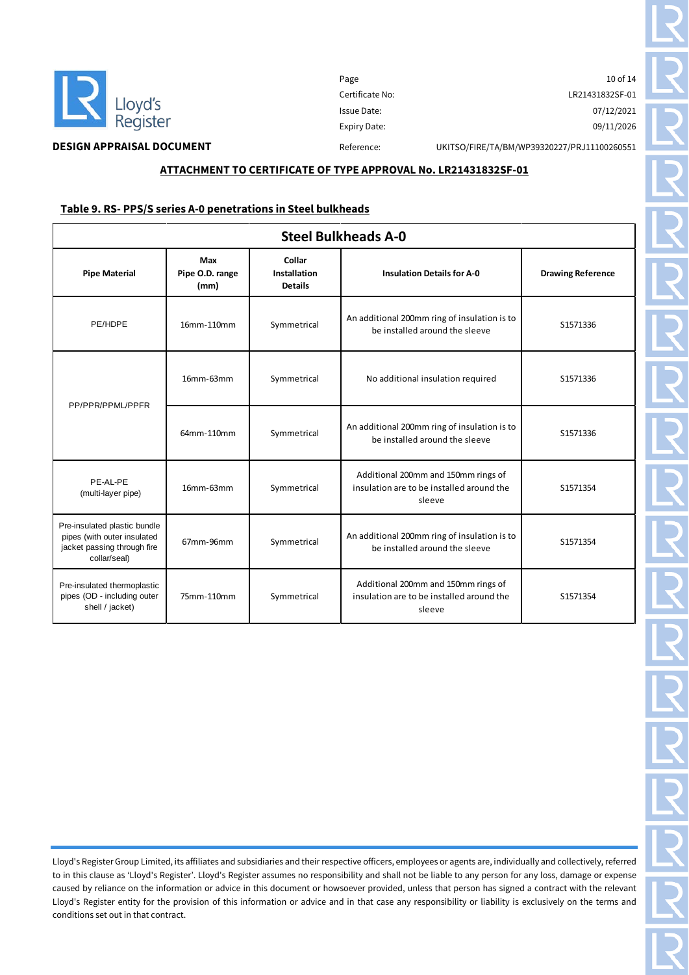

# **DESIGN APPRAISAL DOCUMENT** Reference: UKITSO/FIRE/TA/BM/WP39320227/PRJ11100260551

#### **ATTACHMENT TO CERTIFICATE OF TYPE APPROVAL No. LR21431832SF-01**

#### **Table 9. RS- PPS/S series A-0 penetrations in Steel bulkheads**

| <b>Steel Bulkheads A-0</b>                                                                                 |                                |                                          |                                                                                            |                          |
|------------------------------------------------------------------------------------------------------------|--------------------------------|------------------------------------------|--------------------------------------------------------------------------------------------|--------------------------|
| <b>Pipe Material</b>                                                                                       | Max<br>Pipe O.D. range<br>(mm) | Collar<br>Installation<br><b>Details</b> | <b>Insulation Details for A-0</b>                                                          | <b>Drawing Reference</b> |
| PE/HDPE                                                                                                    | 16mm-110mm                     | Symmetrical                              | An additional 200mm ring of insulation is to<br>be installed around the sleeve             | S1571336                 |
| PP/PPR/PPML/PPFR                                                                                           | 16mm-63mm                      | Symmetrical                              | No additional insulation required                                                          | S1571336                 |
|                                                                                                            | 64mm-110mm                     | Symmetrical                              | An additional 200mm ring of insulation is to<br>be installed around the sleeve             | S1571336                 |
| PE-AL-PE<br>(multi-layer pipe)                                                                             | 16mm-63mm                      | Symmetrical                              | Additional 200mm and 150mm rings of<br>insulation are to be installed around the<br>sleeve | S1571354                 |
| Pre-insulated plastic bundle<br>pipes (with outer insulated<br>jacket passing through fire<br>collar/seal) | 67mm-96mm                      | Symmetrical                              | An additional 200mm ring of insulation is to<br>be installed around the sleeve             | S1571354                 |
| Pre-insulated thermoplastic<br>pipes (OD - including outer<br>shell / jacket)                              | 75mm-110mm                     | Symmetrical                              | Additional 200mm and 150mm rings of<br>insulation are to be installed around the<br>sleeve | S1571354                 |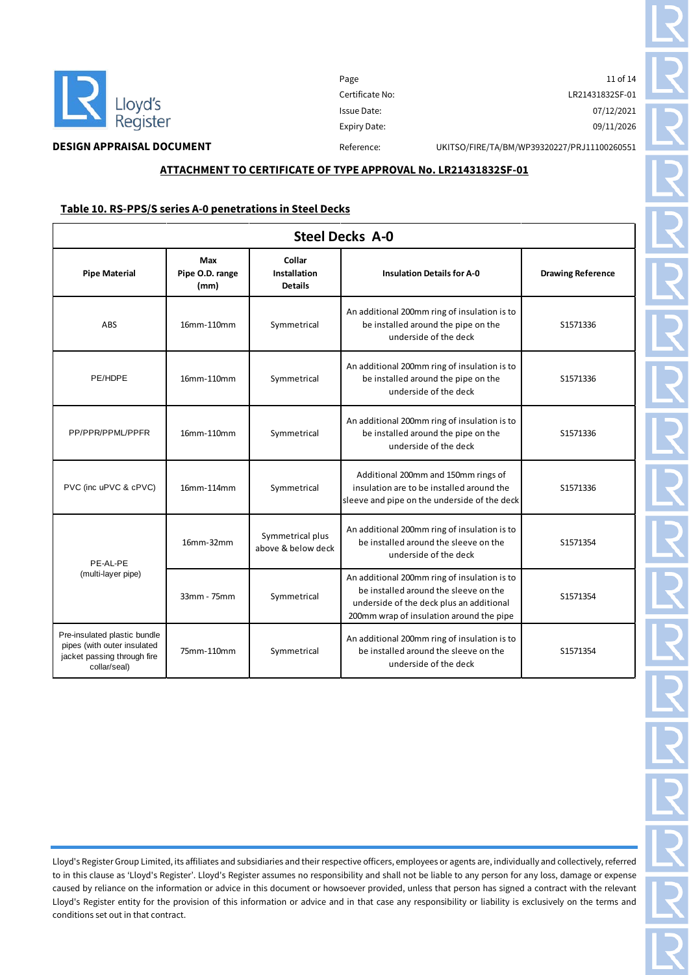

Page 11 of 14 Certificate No: LR21431832SF-01 Issue Date: 07/12/2021 Expiry Date: 09/11/2026

**DESIGN APPRAISAL DOCUMENT** Reference: UKITSO/FIRE/TA/BM/WP39320227/PRJ11100260551

#### **ATTACHMENT TO CERTIFICATE OF TYPE APPROVAL No. LR21431832SF-01**

#### **Table 10. RS-PPS/S series A-0 penetrations in Steel Decks**

| <b>Steel Decks A-0</b>                                                                                     |                                |                                          |                                                                                                                                                                               |                          |  |
|------------------------------------------------------------------------------------------------------------|--------------------------------|------------------------------------------|-------------------------------------------------------------------------------------------------------------------------------------------------------------------------------|--------------------------|--|
| <b>Pipe Material</b>                                                                                       | Max<br>Pipe O.D. range<br>(mm) | Collar<br>Installation<br><b>Details</b> | <b>Insulation Details for A-0</b>                                                                                                                                             | <b>Drawing Reference</b> |  |
| ABS                                                                                                        | 16mm-110mm                     | Symmetrical                              | An additional 200mm ring of insulation is to<br>be installed around the pipe on the<br>underside of the deck                                                                  | S1571336                 |  |
| PE/HDPE                                                                                                    | 16mm-110mm                     | Symmetrical                              | An additional 200mm ring of insulation is to<br>be installed around the pipe on the<br>underside of the deck                                                                  | S1571336                 |  |
| PP/PPR/PPML/PPFR                                                                                           | 16mm-110mm                     | Symmetrical                              | An additional 200mm ring of insulation is to<br>be installed around the pipe on the<br>underside of the deck                                                                  | S1571336                 |  |
| PVC (inc uPVC & cPVC)                                                                                      | 16mm-114mm                     | Symmetrical                              | Additional 200mm and 150mm rings of<br>insulation are to be installed around the<br>sleeve and pipe on the underside of the deck                                              | S1571336                 |  |
| PE-AL-PE<br>(multi-layer pipe)                                                                             | 16mm-32mm                      | Symmetrical plus<br>above & below deck   | An additional 200mm ring of insulation is to<br>be installed around the sleeve on the<br>underside of the deck                                                                | S1571354                 |  |
|                                                                                                            | 33mm - 75mm                    | Symmetrical                              | An additional 200mm ring of insulation is to<br>be installed around the sleeve on the<br>underside of the deck plus an additional<br>200mm wrap of insulation around the pipe | S1571354                 |  |
| Pre-insulated plastic bundle<br>pipes (with outer insulated<br>jacket passing through fire<br>collar/seal) | 75mm-110mm                     | Symmetrical                              | An additional 200mm ring of insulation is to<br>be installed around the sleeve on the<br>underside of the deck                                                                | S1571354                 |  |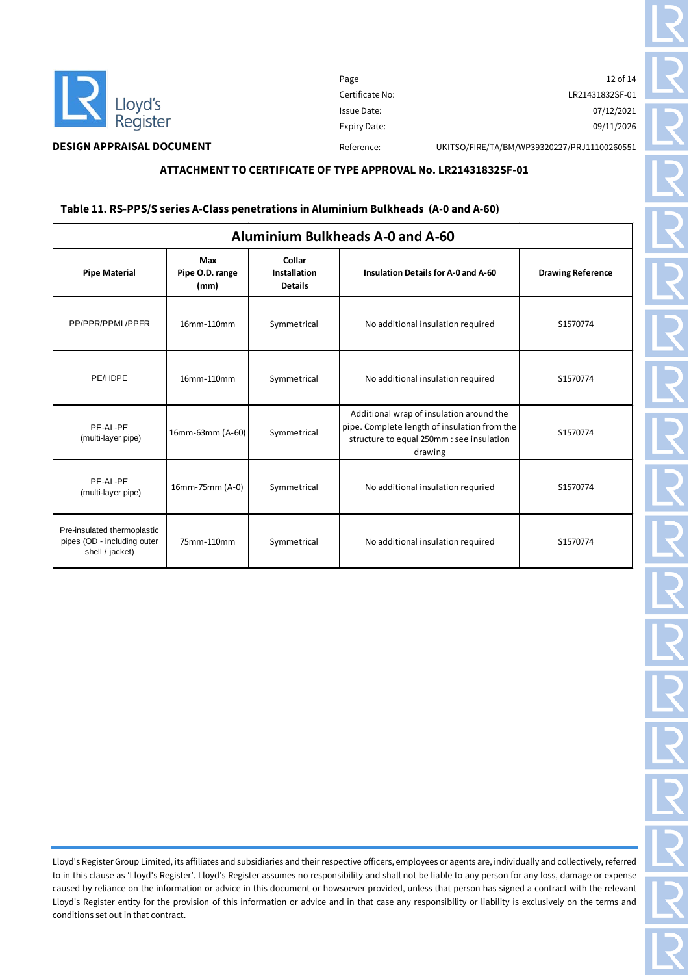

Page 12 of 14 Certificate No: LR21431832SF-01 Issue Date: 07/12/2021 Expiry Date: 09/11/2026

### **ATTACHMENT TO CERTIFICATE OF TYPE APPROVAL No. LR21431832SF-01**

### **Table 11. RS-PPS/S series A-Class penetrations in Aluminium Bulkheads (A-0 and A-60)**

| <b>Aluminium Bulkheads A-0 and A-60</b>                                       |                                |                                          |                                                                                                                                                  |                          |  |
|-------------------------------------------------------------------------------|--------------------------------|------------------------------------------|--------------------------------------------------------------------------------------------------------------------------------------------------|--------------------------|--|
| <b>Pipe Material</b>                                                          | Max<br>Pipe O.D. range<br>(mm) | Collar<br>Installation<br><b>Details</b> | <b>Insulation Details for A-0 and A-60</b>                                                                                                       | <b>Drawing Reference</b> |  |
| PP/PPR/PPML/PPFR                                                              | 16mm-110mm                     | Symmetrical                              | No additional insulation required                                                                                                                | S1570774                 |  |
| PE/HDPE                                                                       | 16mm-110mm                     | Symmetrical                              | No additional insulation required                                                                                                                | S1570774                 |  |
| PE-AL-PE<br>(multi-layer pipe)                                                | 16mm-63mm (A-60)               | Symmetrical                              | Additional wrap of insulation around the<br>pipe. Complete length of insulation from the<br>structure to equal 250mm : see insulation<br>drawing | S1570774                 |  |
| PE-AL-PE<br>(multi-layer pipe)                                                | 16mm-75mm (A-0)                | Symmetrical                              | No additional insulation requried                                                                                                                | S1570774                 |  |
| Pre-insulated thermoplastic<br>pipes (OD - including outer<br>shell / jacket) | 75mm-110mm                     | Symmetrical                              | No additional insulation required                                                                                                                | S1570774                 |  |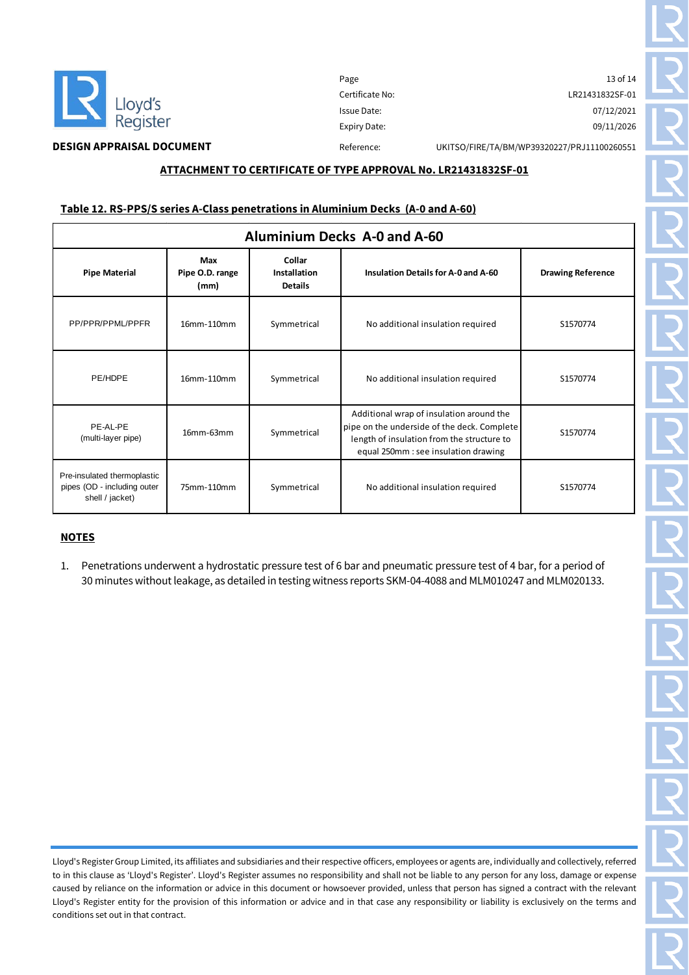

 $\mathsf I$ 

Page 13 of 14 Certificate No: LR21431832SF-01 Issue Date: 07/12/2021 Expiry Date: 09/11/2026

**DESIGN APPRAISAL DOCUMENT** Reference: UKITSO/FIRE/TA/BM/WP39320227/PRJ11100260551

### **ATTACHMENT TO CERTIFICATE OF TYPE APPROVAL No. LR21431832SF-01**

#### **Table 12. RS-PPS/S series A-Class penetrations in Aluminium Decks (A-0 and A-60)**

| <b>Aluminium Decks A-0 and A-60</b>                                           |                                |                                                 |                                                                                                                                                                               |                          |
|-------------------------------------------------------------------------------|--------------------------------|-------------------------------------------------|-------------------------------------------------------------------------------------------------------------------------------------------------------------------------------|--------------------------|
| <b>Pipe Material</b>                                                          | Max<br>Pipe O.D. range<br>(mm) | Collar<br><b>Installation</b><br><b>Details</b> | <b>Insulation Details for A-0 and A-60</b>                                                                                                                                    | <b>Drawing Reference</b> |
| PP/PPR/PPML/PPFR                                                              | 16mm-110mm                     | Symmetrical                                     | No additional insulation required                                                                                                                                             | S1570774                 |
| PE/HDPE                                                                       | 16mm-110mm                     | Symmetrical                                     | No additional insulation required                                                                                                                                             | S1570774                 |
| PE-AL-PE<br>(multi-layer pipe)                                                | $16mm-63mm$                    | Symmetrical                                     | Additional wrap of insulation around the<br>pipe on the underside of the deck. Complete<br>length of insulation from the structure to<br>equal 250mm : see insulation drawing | S1570774                 |
| Pre-insulated thermoplastic<br>pipes (OD - including outer<br>shell / jacket) | 75mm-110mm                     | Symmetrical                                     | No additional insulation required                                                                                                                                             | S1570774                 |

# **NOTES**

1. Penetrations underwent a hydrostatic pressure test of 6 bar and pneumatic pressure test of 4 bar, for a period of 30 minutes without leakage, as detailed in testing witness reports SKM-04-4088 and MLM010247 and MLM020133.